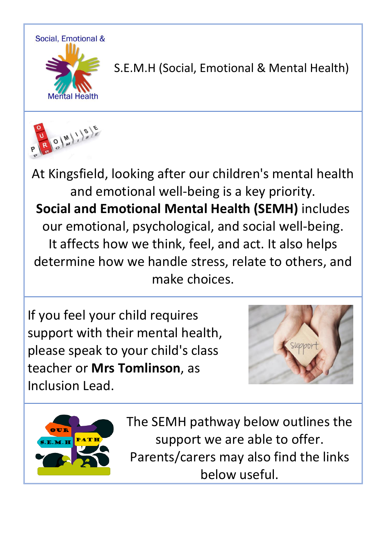

S.E.M.H (Social, Emotional & Mental Health)



At Kingsfield, looking after our children's mental health and emotional well-being is a key priority. **Social and Emotional Mental Health (SEMH)** includes our emotional, psychological, and social well-being. It affects how we think, feel, and act. It also helps determine how we handle stress, relate to others, and make choices.

If you feel your child requires support with their mental health, please speak to your child's class teacher or **Mrs Tomlinson**, as Inclusion Lead.





The SEMH pathway below outlines the support we are able to offer. Parents/carers may also find the links below useful.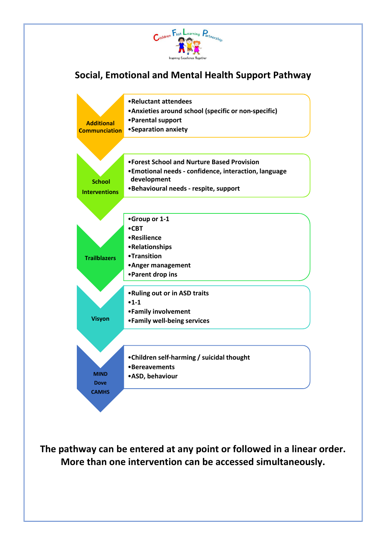

## **Social, Emotional and Mental Health Support Pathway**



**The pathway can be entered at any point or followed in a linear order. More than one intervention can be accessed simultaneously.**